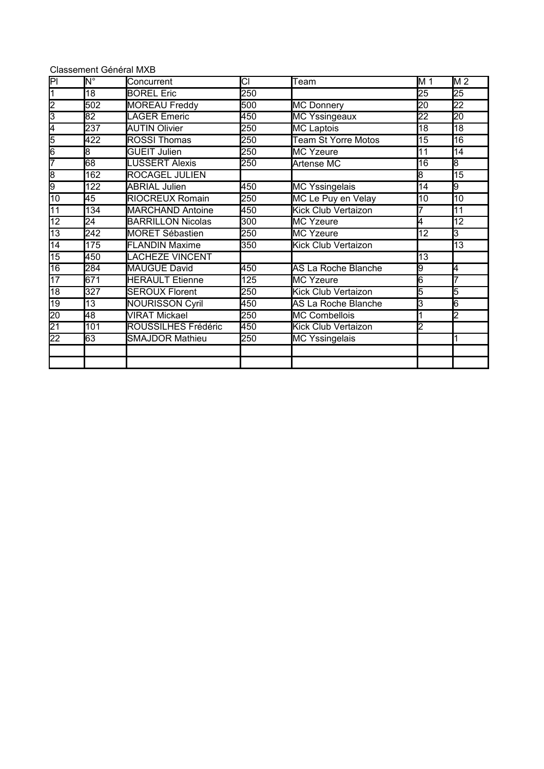| Classement Général MXB |  |  |
|------------------------|--|--|
|------------------------|--|--|

| $\overline{\mathsf{PI}}$      | Й,               | Concurrent               | CI  | Team                       | M 1             | M <sub>2</sub>  |
|-------------------------------|------------------|--------------------------|-----|----------------------------|-----------------|-----------------|
| $\overline{1}$                | 18               | <b>BOREL Eric</b>        | 250 |                            | 25              | 25              |
| $\overline{2}$                | 502              | <b>MOREAU Freddy</b>     | 500 | <b>MC Donnery</b>          | 20              | 22              |
| 3                             | $\overline{82}$  | <b>LAGER Emeric</b>      | 450 | <b>MC Yssingeaux</b>       | $\overline{22}$ | $\overline{20}$ |
| 4                             | $\overline{237}$ | <b>AUTIN Olivier</b>     | 250 | <b>MC Laptois</b>          | 18              | $\overline{18}$ |
| 5                             | 422              | <b>ROSSI Thomas</b>      | 250 | <b>Team St Yorre Motos</b> | 15              | 16              |
| $\overline{6}$                | 8                | <b>GUEIT Julien</b>      | 250 | <b>MC Yzeure</b>           | 11              | 14              |
| 7                             | 68               | <b>LUSSERT Alexis</b>    | 250 | Artense MC                 | 16              | 8               |
| $\overline{\overline{\bf 8}}$ | 162              | <b>ROCAGEL JULIEN</b>    |     |                            | 8               | 15              |
| 9                             | 122              | <b>ABRIAL Julien</b>     | 450 | <b>MC Yssingelais</b>      | 14              | l9              |
| $\overline{10}$               | 45               | <b>RIOCREUX Romain</b>   | 250 | MC Le Puy en Velay         | 10              | $\overline{10}$ |
| $\overline{11}$               | 134              | <b>MARCHAND Antoine</b>  | 450 | Kick Club Vertaizon        |                 | 11              |
| $\overline{12}$               | 24               | <b>BARRILLON Nicolas</b> | 300 | <b>MC Yzeure</b>           | 4               | 12              |
| $\overline{13}$               | 242              | <b>MORET Sébastien</b>   | 250 | <b>MC Yzeure</b>           | $\overline{12}$ | $\overline{3}$  |
| $\overline{14}$               | 175              | <b>FLANDIN Maxime</b>    | 350 | Kick Club Vertaizon        |                 | $\overline{13}$ |
| $\overline{15}$               | 450              | <b>LACHEZE VINCENT</b>   |     |                            | $\overline{13}$ |                 |
| 16                            | 284              | MAUGUE David             | 450 | AS La Roche Blanche        | 9               | 4               |
| 17                            | 671              | <b>HERAULT</b> Etienne   | 125 | MC Yzeure                  | 6               |                 |
| $\overline{18}$               | 327              | <b>SEROUX Florent</b>    | 250 | Kick Club Vertaizon        | 5               | 5               |
| 19                            | 13               | <b>NOURISSON Cyril</b>   | 450 | AS La Roche Blanche        | 3               | 6               |
| $\overline{20}$               | 48               | <b>VIRAT Mickael</b>     | 250 | <b>MC Combellois</b>       |                 | 2               |
| $\overline{21}$               | 101              | ROUSSILHES Frédéric      | 450 | <b>Kick Club Vertaizon</b> | $\overline{2}$  |                 |
| $\overline{22}$               | 63               | <b>SMAJDOR Mathieu</b>   | 250 | <b>MC Yssingelais</b>      |                 | 1               |
|                               |                  |                          |     |                            |                 |                 |
|                               |                  |                          |     |                            |                 |                 |